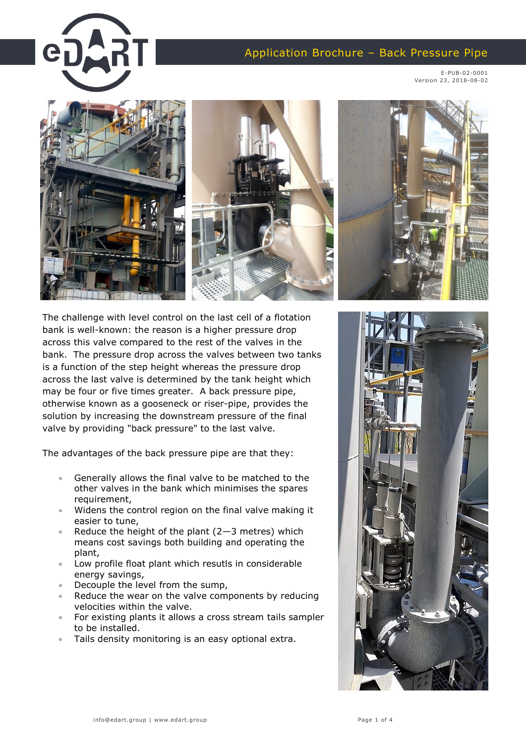## Application Brochure – Back Pressure Pipe

E-PUB-02-0001 Version 23, 2018-08-02



The challenge with level control on the last cell of a flotation bank is well-known: the reason is a higher pressure drop across this valve compared to the rest of the valves in the bank. The pressure drop across the valves between two tanks is a function of the step height whereas the pressure drop across the last valve is determined by the tank height which may be four or five times greater. A back pressure pipe, otherwise known as a gooseneck or riser-pipe, provides the solution by increasing the downstream pressure of the final valve by providing "back pressure" to the last valve.

The advantages of the back pressure pipe are that they:

- Generally allows the final valve to be matched to the other valves in the bank which minimises the spares requirement,
- Widens the control region on the final valve making it easier to tune,
- Reduce the height of the plant  $(2-3$  metres) which means cost savings both building and operating the plant,
- Low profile float plant which resutls in considerable energy savings,
- Decouple the level from the sump,
- Reduce the wear on the valve components by reducing velocities within the valve.
- For existing plants it allows a cross stream tails sampler to be installed.
- Tails density monitoring is an easy optional extra.

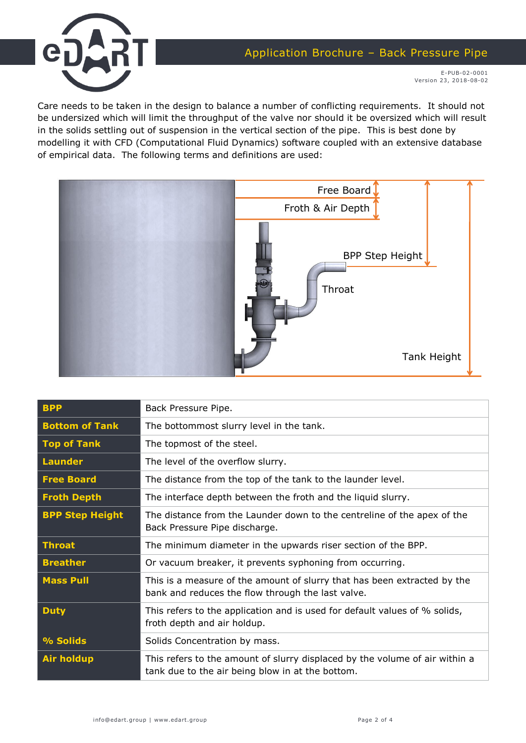



E-PUB-02-0001 Version 23, 2018-08-02

Care needs to be taken in the design to balance a number of conflicting requirements. It should not be undersized which will limit the throughput of the valve nor should it be oversized which will result in the solids settling out of suspension in the vertical section of the pipe. This is best done by modelling it with CFD (Computational Fluid Dynamics) software coupled with an extensive database of empirical data. The following terms and definitions are used:



| <b>BPP</b>             | Back Pressure Pipe.                                                                                                             |
|------------------------|---------------------------------------------------------------------------------------------------------------------------------|
| <b>Bottom of Tank</b>  | The bottommost slurry level in the tank.                                                                                        |
| <b>Top of Tank</b>     | The topmost of the steel.                                                                                                       |
| <b>Launder</b>         | The level of the overflow slurry.                                                                                               |
| <b>Free Board</b>      | The distance from the top of the tank to the launder level.                                                                     |
| <b>Froth Depth</b>     | The interface depth between the froth and the liquid slurry.                                                                    |
| <b>BPP Step Height</b> | The distance from the Launder down to the centreline of the apex of the<br>Back Pressure Pipe discharge.                        |
| <b>Throat</b>          | The minimum diameter in the upwards riser section of the BPP.                                                                   |
| <b>Breather</b>        | Or vacuum breaker, it prevents syphoning from occurring.                                                                        |
| <b>Mass Pull</b>       | This is a measure of the amount of slurry that has been extracted by the<br>bank and reduces the flow through the last valve.   |
| <b>Duty</b>            | This refers to the application and is used for default values of % solids,<br>froth depth and air holdup.                       |
| % Solids               | Solids Concentration by mass.                                                                                                   |
| <b>Air holdup</b>      | This refers to the amount of slurry displaced by the volume of air within a<br>tank due to the air being blow in at the bottom. |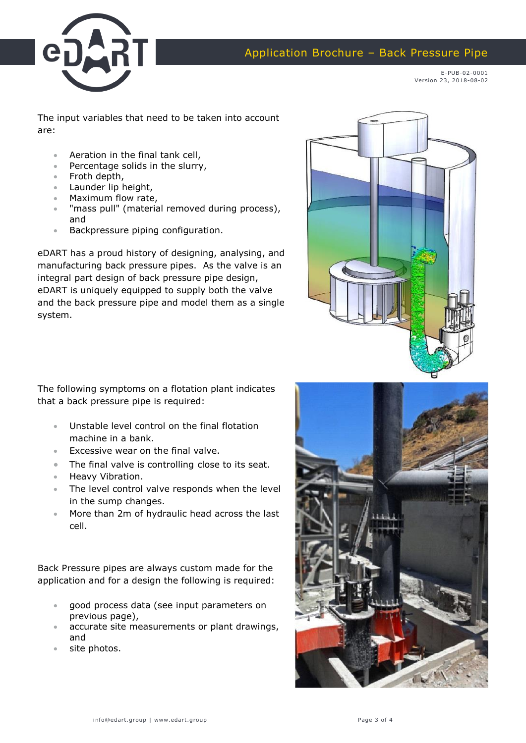

Application Brochure – Back Pressure Pipe

E-PUB-02-0001 Version 23, 2018-08-02

The input variables that need to be taken into account are:

- Aeration in the final tank cell,
- Percentage solids in the slurry,
- Froth depth,
- Launder lip height,
- Maximum flow rate,
- "mass pull" (material removed during process), and
- Backpressure piping configuration.

eDART has a proud history of designing, analysing, and manufacturing back pressure pipes. As the valve is an integral part design of back pressure pipe design, eDART is uniquely equipped to supply both the valve and the back pressure pipe and model them as a single system.



The following symptoms on a flotation plant indicates that a back pressure pipe is required:

- Unstable level control on the final flotation machine in a bank.
- Excessive wear on the final valve.
- The final valve is controlling close to its seat.
- **•** Heavy Vibration.
- The level control valve responds when the level in the sump changes.
- **More than 2m of hydraulic head across the last** cell.

Back Pressure pipes are always custom made for the application and for a design the following is required:

- good process data (see input parameters on previous page),
- accurate site measurements or plant drawings, and
- site photos.